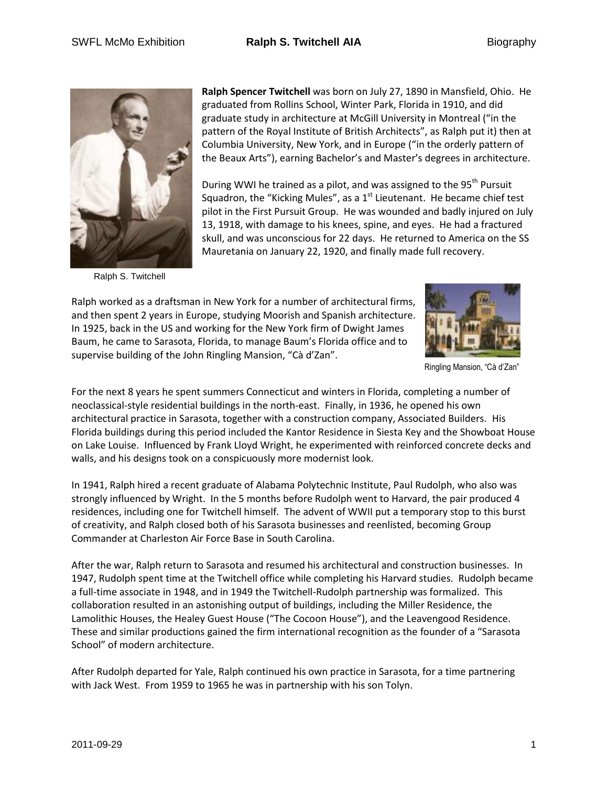

Ralph S. Twitchell

**Ralph Spencer Twitchell** was born on July 27, 1890 in Mansfield, Ohio. He graduated from Rollins School, Winter Park, Florida in 1910, and did graduate study in architecture at McGill University in Montreal ("in the pattern of the Royal Institute of British Architects", as Ralph put it) then at Columbia University, New York, and in Europe ("in the orderly pattern of the Beaux Arts"), earning Bachelor's and Master's degrees in architecture.

During WWI he trained as a pilot, and was assigned to the 95<sup>th</sup> Pursuit Squadron, the "Kicking Mules", as a 1<sup>st</sup> Lieutenant. He became chief test pilot in the First Pursuit Group. He was wounded and badly injured on July 13, 1918, with damage to his knees, spine, and eyes. He had a fractured skull, and was unconscious for 22 days. He returned to America on the SS Mauretania on January 22, 1920, and finally made full recovery.

Ralph worked as a draftsman in New York for a number of architectural firms, and then spent 2 years in Europe, studying Moorish and Spanish architecture. In 1925, back in the US and working for the New York firm of Dwight James Baum, he came to Sarasota, Florida, to manage Baum's Florida office and to supervise building of the John Ringling Mansion, "Cà d'Zan".



Ringling Mansion, "Cà d'Zan"

For the next 8 years he spent summers Connecticut and winters in Florida, completing a number of neoclassical-style residential buildings in the north-east. Finally, in 1936, he opened his own architectural practice in Sarasota, together with a construction company, Associated Builders. His Florida buildings during this period included the Kantor Residence in Siesta Key and the Showboat House on Lake Louise. Influenced by Frank Lloyd Wright, he experimented with reinforced concrete decks and walls, and his designs took on a conspicuously more modernist look.

In 1941, Ralph hired a recent graduate of Alabama Polytechnic Institute, Paul Rudolph, who also was strongly influenced by Wright. In the 5 months before Rudolph went to Harvard, the pair produced 4 residences, including one for Twitchell himself. The advent of WWII put a temporary stop to this burst of creativity, and Ralph closed both of his Sarasota businesses and reenlisted, becoming Group Commander at Charleston Air Force Base in South Carolina.

After the war, Ralph return to Sarasota and resumed his architectural and construction businesses. In 1947, Rudolph spent time at the Twitchell office while completing his Harvard studies. Rudolph became a full-time associate in 1948, and in 1949 the Twitchell-Rudolph partnership was formalized. This collaboration resulted in an astonishing output of buildings, including the Miller Residence, the Lamolithic Houses, the Healey Guest House ("The Cocoon House"), and the Leavengood Residence. These and similar productions gained the firm international recognition as the founder of a "Sarasota School" of modern architecture.

After Rudolph departed for Yale, Ralph continued his own practice in Sarasota, for a time partnering with Jack West. From 1959 to 1965 he was in partnership with his son Tolyn.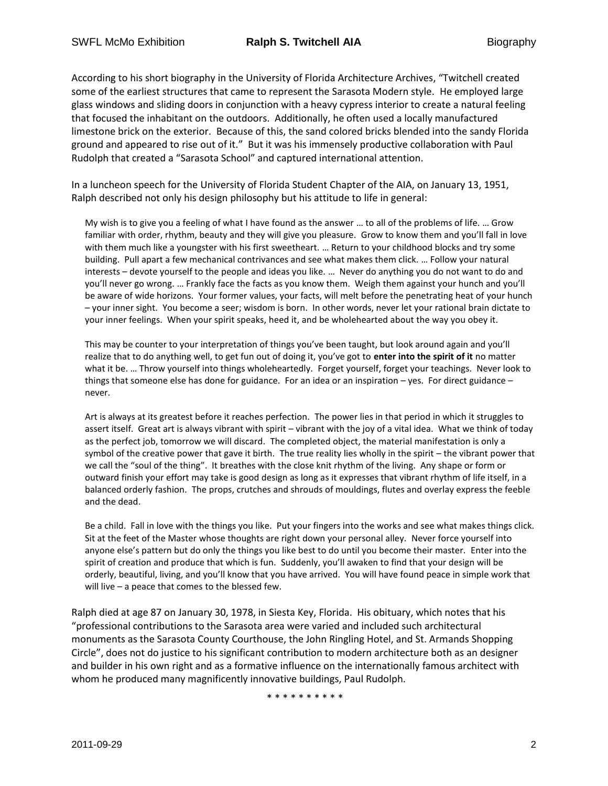According to his short biography in the University of Florida Architecture Archives, "Twitchell created some of the earliest structures that came to represent the Sarasota Modern style. He employed large glass windows and sliding doors in conjunction with a heavy cypress interior to create a natural feeling that focused the inhabitant on the outdoors. Additionally, he often used a locally manufactured limestone brick on the exterior. Because of this, the sand colored bricks blended into the sandy Florida ground and appeared to rise out of it." But it was his immensely productive collaboration with Paul Rudolph that created a "Sarasota School" and captured international attention.

In a luncheon speech for the University of Florida Student Chapter of the AIA, on January 13, 1951, Ralph described not only his design philosophy but his attitude to life in general:

My wish is to give you a feeling of what I have found as the answer … to all of the problems of life. … Grow familiar with order, rhythm, beauty and they will give you pleasure. Grow to know them and you'll fall in love with them much like a youngster with his first sweetheart. … Return to your childhood blocks and try some building. Pull apart a few mechanical contrivances and see what makes them click. … Follow your natural interests – devote yourself to the people and ideas you like. … Never do anything you do not want to do and you'll never go wrong. … Frankly face the facts as you know them. Weigh them against your hunch and you'll be aware of wide horizons. Your former values, your facts, will melt before the penetrating heat of your hunch – your inner sight. You become a seer; wisdom is born. In other words, never let your rational brain dictate to your inner feelings. When your spirit speaks, heed it, and be wholehearted about the way you obey it.

This may be counter to your interpretation of things you've been taught, but look around again and you'll realize that to do anything well, to get fun out of doing it, you've got to **enter into the spirit of it** no matter what it be. … Throw yourself into things wholeheartedly. Forget yourself, forget your teachings. Never look to things that someone else has done for guidance. For an idea or an inspiration – yes. For direct guidance – never.

Art is always at its greatest before it reaches perfection. The power lies in that period in which it struggles to assert itself. Great art is always vibrant with spirit – vibrant with the joy of a vital idea. What we think of today as the perfect job, tomorrow we will discard. The completed object, the material manifestation is only a symbol of the creative power that gave it birth. The true reality lies wholly in the spirit – the vibrant power that we call the "soul of the thing". It breathes with the close knit rhythm of the living. Any shape or form or outward finish your effort may take is good design as long as it expresses that vibrant rhythm of life itself, in a balanced orderly fashion. The props, crutches and shrouds of mouldings, flutes and overlay express the feeble and the dead.

Be a child. Fall in love with the things you like. Put your fingers into the works and see what makes things click. Sit at the feet of the Master whose thoughts are right down your personal alley. Never force yourself into anyone else's pattern but do only the things you like best to do until you become their master. Enter into the spirit of creation and produce that which is fun. Suddenly, you'll awaken to find that your design will be orderly, beautiful, living, and you'll know that you have arrived. You will have found peace in simple work that will live – a peace that comes to the blessed few.

Ralph died at age 87 on January 30, 1978, in Siesta Key, Florida. His obituary, which notes that his "professional contributions to the Sarasota area were varied and included such architectural monuments as the Sarasota County Courthouse, the John Ringling Hotel, and St. Armands Shopping Circle", does not do justice to his significant contribution to modern architecture both as an designer and builder in his own right and as a formative influence on the internationally famous architect with whom he produced many magnificently innovative buildings, Paul Rudolph.

\* \* \* \* \* \* \* \* \* \*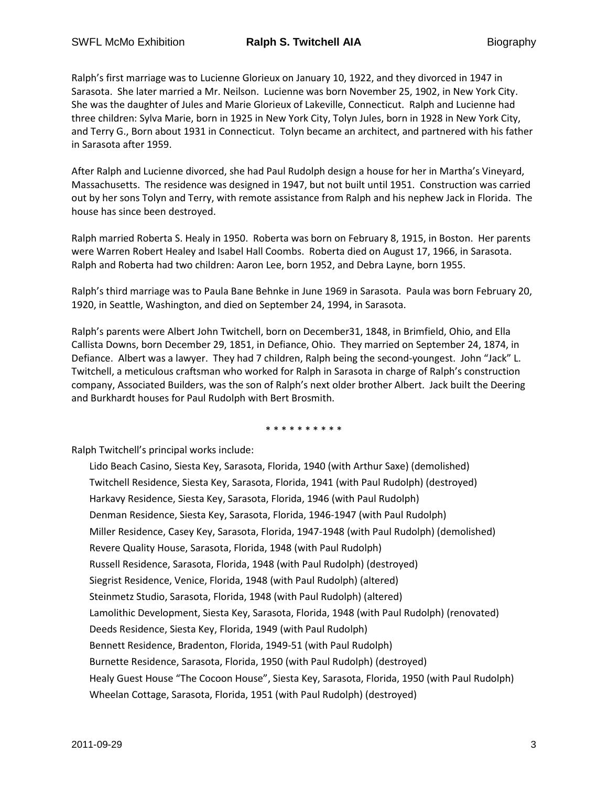Ralph's first marriage was to Lucienne Glorieux on January 10, 1922, and they divorced in 1947 in Sarasota. She later married a Mr. Neilson. Lucienne was born November 25, 1902, in New York City. She was the daughter of Jules and Marie Glorieux of Lakeville, Connecticut. Ralph and Lucienne had three children: Sylva Marie, born in 1925 in New York City, Tolyn Jules, born in 1928 in New York City, and Terry G., Born about 1931 in Connecticut. Tolyn became an architect, and partnered with his father in Sarasota after 1959.

After Ralph and Lucienne divorced, she had Paul Rudolph design a house for her in Martha's Vineyard, Massachusetts. The residence was designed in 1947, but not built until 1951. Construction was carried out by her sons Tolyn and Terry, with remote assistance from Ralph and his nephew Jack in Florida. The house has since been destroyed.

Ralph married Roberta S. Healy in 1950. Roberta was born on February 8, 1915, in Boston. Her parents were Warren Robert Healey and Isabel Hall Coombs. Roberta died on August 17, 1966, in Sarasota. Ralph and Roberta had two children: Aaron Lee, born 1952, and Debra Layne, born 1955.

Ralph's third marriage was to Paula Bane Behnke in June 1969 in Sarasota. Paula was born February 20, 1920, in Seattle, Washington, and died on September 24, 1994, in Sarasota.

Ralph's parents were Albert John Twitchell, born on December31, 1848, in Brimfield, Ohio, and Ella Callista Downs, born December 29, 1851, in Defiance, Ohio. They married on September 24, 1874, in Defiance. Albert was a lawyer. They had 7 children, Ralph being the second-youngest. John "Jack" L. Twitchell, a meticulous craftsman who worked for Ralph in Sarasota in charge of Ralph's construction company, Associated Builders, was the son of Ralph's next older brother Albert. Jack built the Deering and Burkhardt houses for Paul Rudolph with Bert Brosmith.

\* \* \* \* \* \* \* \* \*

Ralph Twitchell's principal works include:

Lido Beach Casino, Siesta Key, Sarasota, Florida, 1940 (with Arthur Saxe) (demolished) Twitchell Residence, Siesta Key, Sarasota, Florida, 1941 (with Paul Rudolph) (destroyed) Harkavy Residence, Siesta Key, Sarasota, Florida, 1946 (with Paul Rudolph) Denman Residence, Siesta Key, Sarasota, Florida, 1946-1947 (with Paul Rudolph) Miller Residence, Casey Key, Sarasota, Florida, 1947-1948 (with Paul Rudolph) (demolished) Revere Quality House, Sarasota, Florida, 1948 (with Paul Rudolph) Russell Residence, Sarasota, Florida, 1948 (with Paul Rudolph) (destroyed) Siegrist Residence, Venice, Florida, 1948 (with Paul Rudolph) (altered) Steinmetz Studio, Sarasota, Florida, 1948 (with Paul Rudolph) (altered) Lamolithic Development, Siesta Key, Sarasota, Florida, 1948 (with Paul Rudolph) (renovated) Deeds Residence, Siesta Key, Florida, 1949 (with Paul Rudolph) Bennett Residence, Bradenton, Florida, 1949-51 (with Paul Rudolph) Burnette Residence, Sarasota, Florida, 1950 (with Paul Rudolph) (destroyed) Healy Guest House "The Cocoon House", Siesta Key, Sarasota, Florida, 1950 (with Paul Rudolph) Wheelan Cottage, Sarasota, Florida, 1951 (with Paul Rudolph) (destroyed)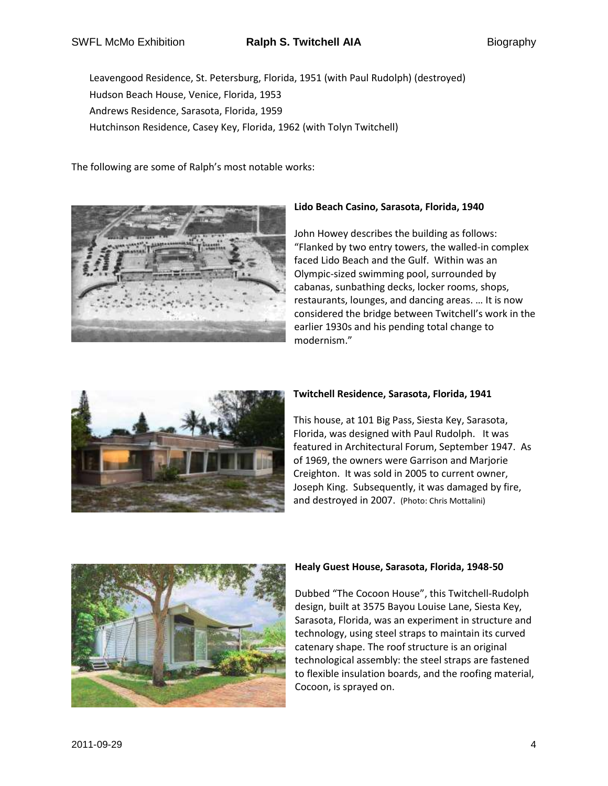SWFL McMo Exhibition **Ralph S. Twitchell AIA** Biography

Leavengood Residence, St. Petersburg, Florida, 1951 (with Paul Rudolph) (destroyed) Hudson Beach House, Venice, Florida, 1953 Andrews Residence, Sarasota, Florida, 1959 Hutchinson Residence, Casey Key, Florida, 1962 (with Tolyn Twitchell)

The following are some of Ralph's most notable works:



# **Lido Beach Casino, Sarasota, Florida, 1940**

John Howey describes the building as follows: "Flanked by two entry towers, the walled-in complex faced Lido Beach and the Gulf. Within was an Olympic-sized swimming pool, surrounded by cabanas, sunbathing decks, locker rooms, shops, restaurants, lounges, and dancing areas. … It is now considered the bridge between Twitchell's work in the earlier 1930s and his pending total change to modernism."



## **Twitchell Residence, Sarasota, Florida, 1941**

This house, at 101 Big Pass, Siesta Key, Sarasota, Florida, was designed with Paul Rudolph. It was featured in Architectural Forum, September 1947. As of 1969, the owners were Garrison and Marjorie Creighton. It was sold in 2005 to current owner, Joseph King. Subsequently, it was damaged by fire, and destroyed in 2007. (Photo: Chris Mottalini)



## **Healy Guest House, Sarasota, Florida, 1948-50**

Dubbed "The Cocoon House", this Twitchell-Rudolph design, built at 3575 Bayou Louise Lane, Siesta Key, Sarasota, Florida, was an experiment in structure and technology, using steel straps to maintain its curved catenary shape. The roof structure is an original technological assembly: the steel straps are fastened to flexible insulation boards, and the roofing material, Cocoon, is sprayed on.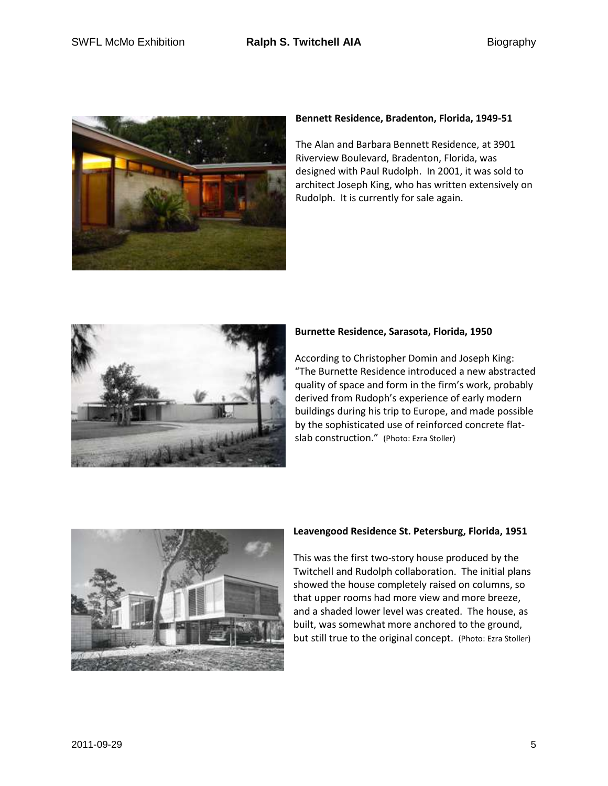

## **Bennett Residence, Bradenton, Florida, 1949-51**

The Alan and Barbara Bennett Residence, at 3901 Riverview Boulevard, Bradenton, Florida, was designed with Paul Rudolph. In 2001, it was sold to architect Joseph King, who has written extensively on Rudolph. It is currently for sale again.



# **Burnette Residence, Sarasota, Florida, 1950**

According to Christopher Domin and Joseph King: "The Burnette Residence introduced a new abstracted quality of space and form in the firm's work, probably derived from Rudoph's experience of early modern buildings during his trip to Europe, and made possible by the sophisticated use of reinforced concrete flatslab construction." (Photo: Ezra Stoller)



## **Leavengood Residence St. Petersburg, Florida, 1951**

This was the first two-story house produced by the Twitchell and Rudolph collaboration. The initial plans showed the house completely raised on columns, so that upper rooms had more view and more breeze, and a shaded lower level was created. The house, as built, was somewhat more anchored to the ground, but still true to the original concept. (Photo: Ezra Stoller)